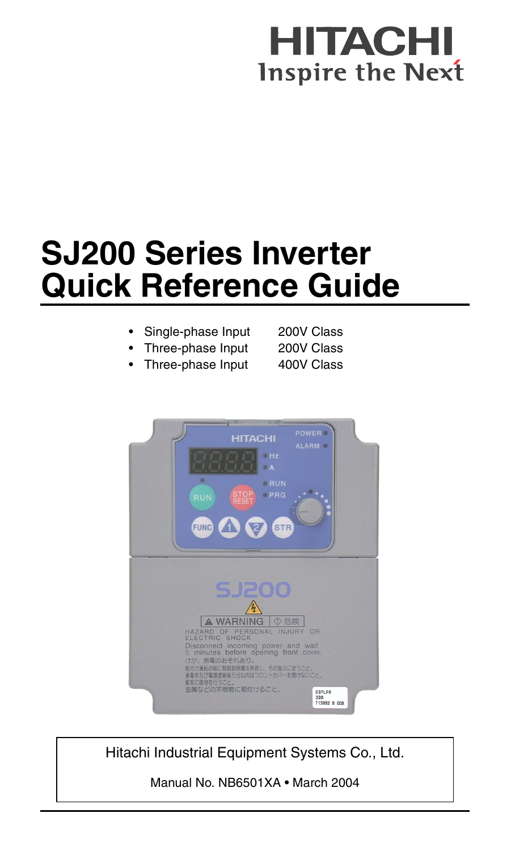## HITACH **Inspire the Next**

# **SJ200 Series Inverter Quick Reference Guide**

#### Single-phase Input 200V Class

- Three-phase Input 200V Class
- Three-phase Input 400V Class



Hitachi Industrial Equipment Systems Co., Ltd.

Manual No. NB6501XA • March 2004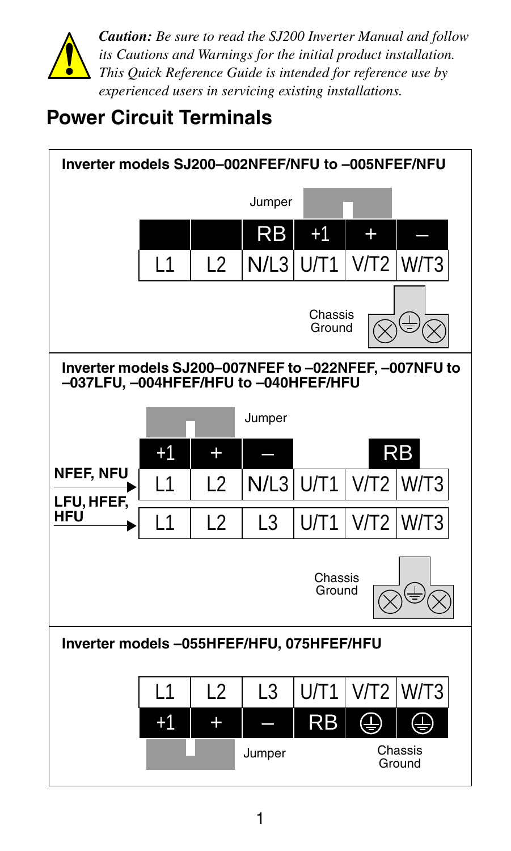

*Caution: Be sure to read the SJ200 Inverter Manual and follow its Cautions and Warnings for the initial product installation. This Quick Reference Guide is intended for reference use by experienced users in servicing existing installations.*

### **Power Circuit Terminals**

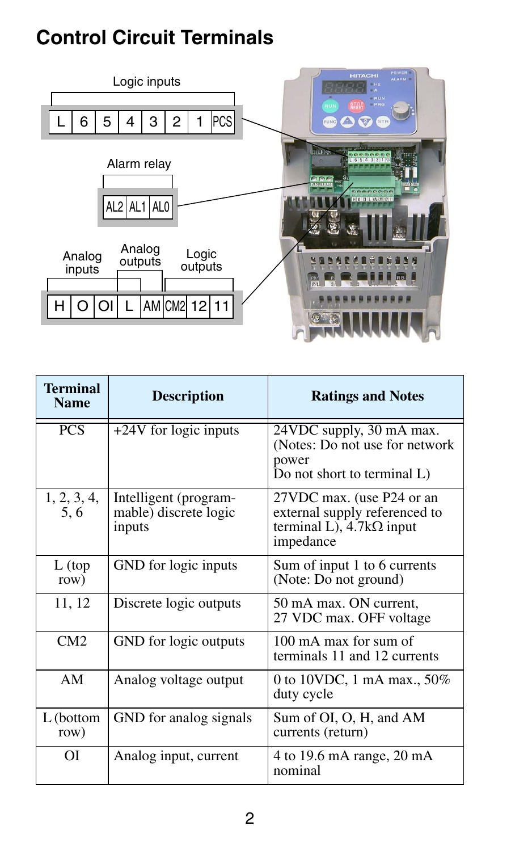### **Control Circuit Terminals**



| <b>Terminal</b><br><b>Name</b> | <b>Description</b>                                       | <b>Ratings and Notes</b>                                                                                   |  |
|--------------------------------|----------------------------------------------------------|------------------------------------------------------------------------------------------------------------|--|
| <b>PCS</b>                     | +24V for logic inputs                                    | 24VDC supply, 30 mA max.<br>(Notes: Do not use for network)<br>power<br>Do not short to terminal L)        |  |
| 1, 2, 3, 4,<br>5.6             | Intelligent (program-<br>mable) discrete logic<br>inputs | 27VDC max. (use P24 or an<br>external supply referenced to<br>terminal L), $4.7k\Omega$ input<br>impedance |  |
| $L$ (top<br>row)               | GND for logic inputs                                     | Sum of input 1 to 6 currents<br>(Note: Do not ground)                                                      |  |
| 11, 12                         | Discrete logic outputs                                   | 50 mA max. ON current,<br>27 VDC max. OFF voltage                                                          |  |
| CM2                            | GND for logic outputs                                    | 100 mA max for sum of<br>terminals 11 and 12 currents                                                      |  |
| AM                             | Analog voltage output                                    | 0 to 10VDC, 1 mA max., 50%<br>duty cycle                                                                   |  |
| L (bottom<br>row)              | GND for analog signals                                   | Sum of OI, O, H, and AM<br>currents (return)                                                               |  |
| ОI                             | Analog input, current                                    | 4 to 19.6 mA range, 20 mA<br>nominal                                                                       |  |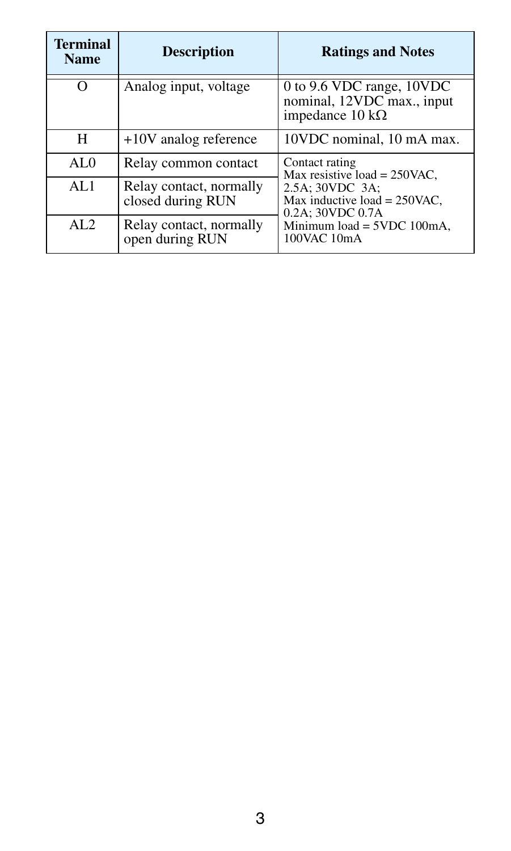| <b>Terminal</b><br><b>Name</b> | <b>Description</b>                           | <b>Ratings and Notes</b>                                                                  |
|--------------------------------|----------------------------------------------|-------------------------------------------------------------------------------------------|
| $\Omega$                       | Analog input, voltage                        | 0 to 9.6 VDC range, 10VDC<br>nominal, 12VDC max., input<br>impedance $10 \text{ k}\Omega$ |
| н                              | $+10V$ analog reference                      | 10VDC nominal, 10 mA max.                                                                 |
| AL $\Omega$                    | Relay common contact                         | Contact rating<br>Max resistive load = $250$ VAC,                                         |
| AI.1                           | Relay contact, normally<br>closed during RUN | 2.5A; 30VDC 3A;<br>Max inductive load = $250$ VAC,<br>0.2A: 30VDC 0.7A                    |
| AI.2                           | Relay contact, normally<br>open during RUN   | Minimum load = 5VDC 100mA,<br>100VAC 10mA                                                 |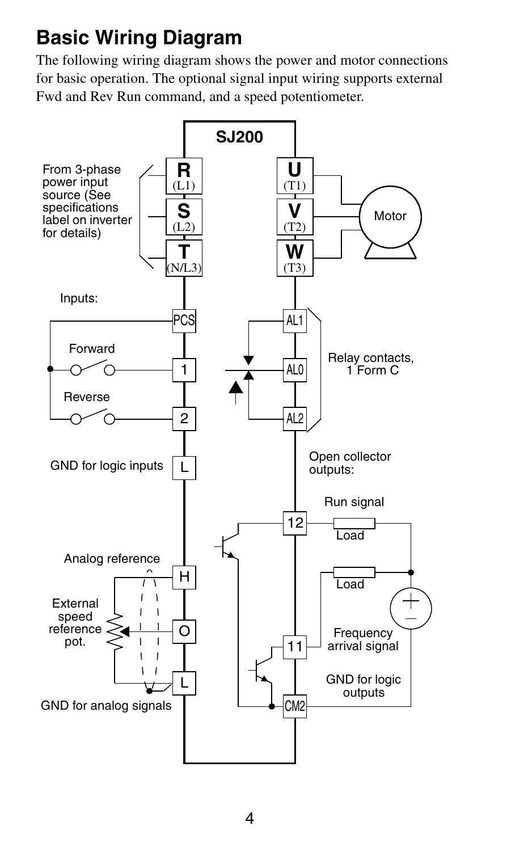## **Basic Wiring Diagram**

The following wiring diagram shows the power and motor connections for basic operation. The optional signal input wiring supports external Fwd and Rev Run command, and a speed potentiometer.

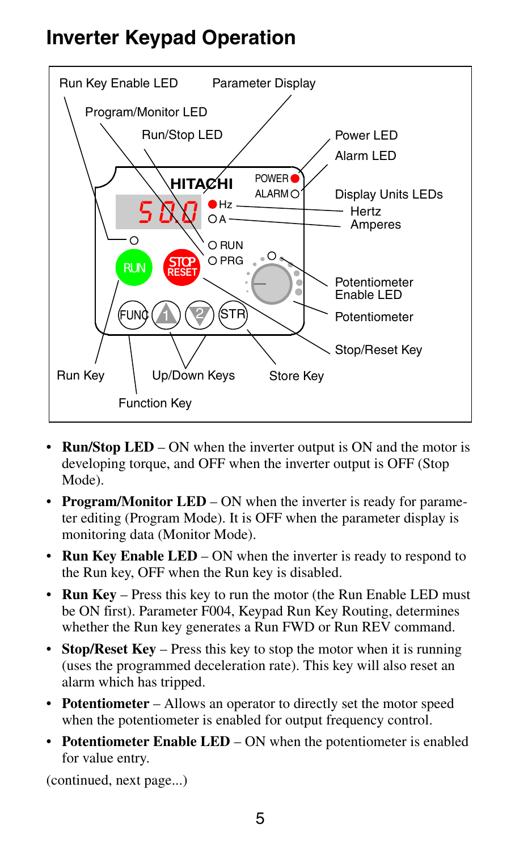### **Inverter Keypad Operation**



- **Run/Stop LED** ON when the inverter output is ON and the motor is developing torque, and OFF when the inverter output is OFF (Stop Mode).
- **Program/Monitor LED** ON when the inverter is ready for parameter editing (Program Mode). It is OFF when the parameter display is monitoring data (Monitor Mode).
- **Run Key Enable LED** ON when the inverter is ready to respond to the Run key, OFF when the Run key is disabled.
- **Run Key** Press this key to run the motor (the Run Enable LED must be ON first). Parameter F004, Keypad Run Key Routing, determines whether the Run key generates a Run FWD or Run REV command.
- **Stop/Reset Key** Press this key to stop the motor when it is running (uses the programmed deceleration rate). This key will also reset an alarm which has tripped.
- **Potentiometer**  Allows an operator to directly set the motor speed when the potentiometer is enabled for output frequency control.
- **Potentiometer Enable LED** ON when the potentiometer is enabled for value entry.

(continued, next page...)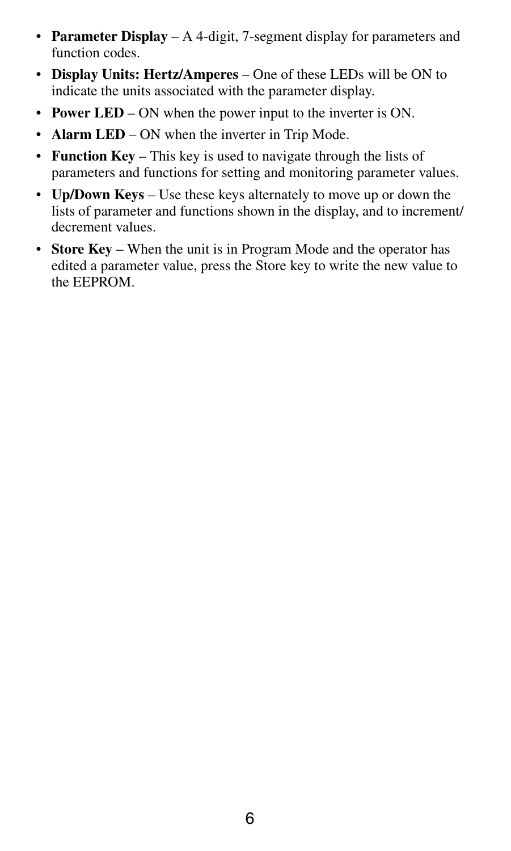- **Parameter Display** A 4-digit, 7-segment display for parameters and function codes.
- **Display Units: Hertz/Amperes** One of these LEDs will be ON to indicate the units associated with the parameter display.
- **Power LED** ON when the power input to the inverter is ON.
- **Alarm LED** ON when the inverter in Trip Mode.
- **Function Key** This key is used to navigate through the lists of parameters and functions for setting and monitoring parameter values.
- **Up/Down Keys** Use these keys alternately to move up or down the lists of parameter and functions shown in the display, and to increment/ decrement values.
- **Store Key** When the unit is in Program Mode and the operator has edited a parameter value, press the Store key to write the new value to the EEPROM.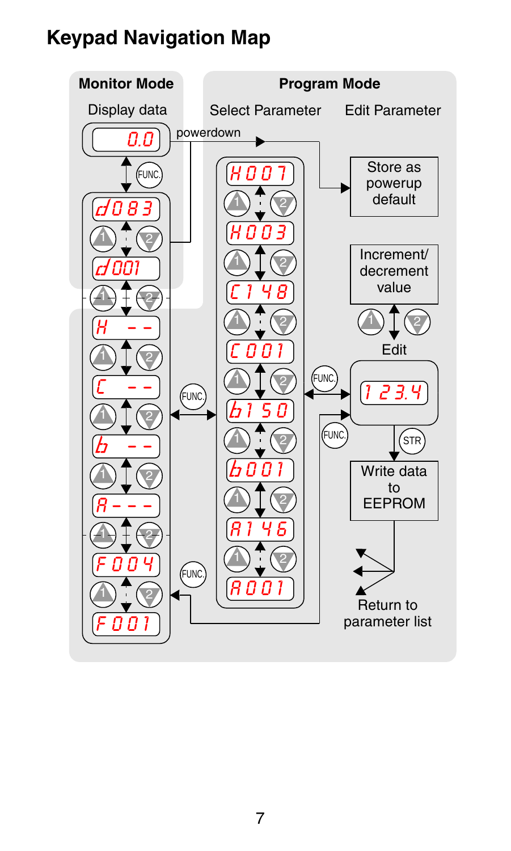### **Keypad Navigation Map**

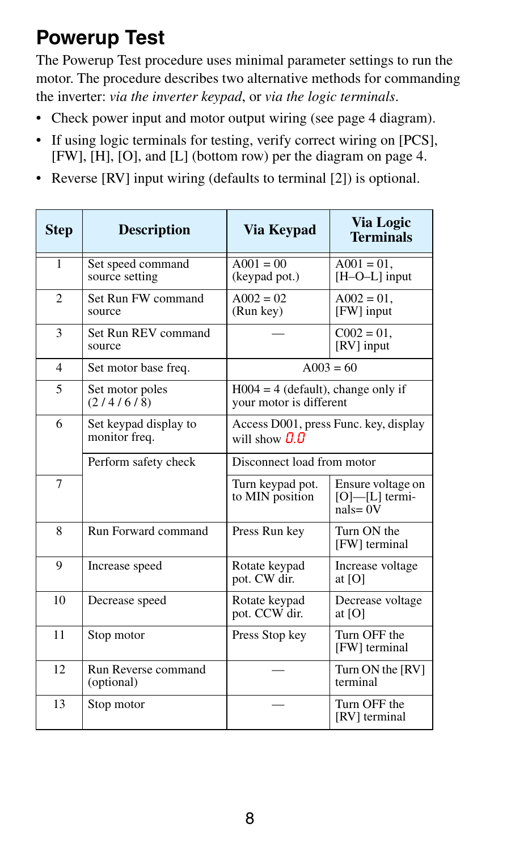### **Powerup Test**

The Powerup Test procedure uses minimal parameter settings to run the motor. The procedure describes two alternative methods for commanding the inverter: *via the inverter keypad*, or *via the logic terminals*.

- Check power input and motor output wiring (see page 4 diagram).
- If using logic terminals for testing, verify correct wiring on [PCS], [FW], [H], [O], and [L] (bottom row) per the diagram on page 4.
- Reverse [RV] input wiring (defaults to terminal [2]) is optional.

| <b>Step</b>    | <b>Description</b>                     | Via Kevpad                                                       | <b>Via Logic</b><br><b>Terminals</b>                     |  |
|----------------|----------------------------------------|------------------------------------------------------------------|----------------------------------------------------------|--|
| 1              | Set speed command<br>source setting    | $A001 = 00$<br>$A001 = 01$ .<br>$[H-O-L]$ input<br>(keypad pot.) |                                                          |  |
| $\overline{c}$ | Set Run FW command<br>source           | $A002 = 02$<br>(Run key)                                         | $A002 = 01$ .<br>[FW] input                              |  |
| 3              | Set Run REV command<br>source          |                                                                  | $C002 = 01$ ,<br>[RV] input                              |  |
| $\overline{4}$ | Set motor base freq.                   |                                                                  | $A003 = 60$                                              |  |
| 5              | Set motor poles<br>(2/4/6/8)           | $H004 = 4$ (default), change only if<br>your motor is different  |                                                          |  |
| 6              | Set keypad display to<br>monitor freq. | Access D001, press Func. key, display<br>will show $\Pi$ $\Pi$   |                                                          |  |
|                | Perform safety check                   | Disconnect load from motor                                       |                                                          |  |
| $\overline{7}$ |                                        | Turn keypad pot.<br>to MIN position                              | Ensure voltage on<br>$[O]$ - $[L]$ termi-<br>$nals = 0V$ |  |
| 8              | Run Forward command                    | Press Run key                                                    | Turn ON the<br>[FW] terminal                             |  |
| 9              | Increase speed                         | Rotate keypad<br>pot. CW dir.                                    | Increase voltage<br>at [O]                               |  |
| 10             | Decrease speed                         | Rotate keypad<br>Decrease voltage<br>pot. CCW dir.<br>at [O]     |                                                          |  |
| 11             | Stop motor                             | Turn OFF the<br>Press Stop key<br>[FW] terminal                  |                                                          |  |
| 12.            | Run Reverse command<br>(optional)      |                                                                  | Turn ON the [RV]<br>terminal                             |  |
| 13             | Stop motor                             |                                                                  | Turn OFF the<br>[RV] terminal                            |  |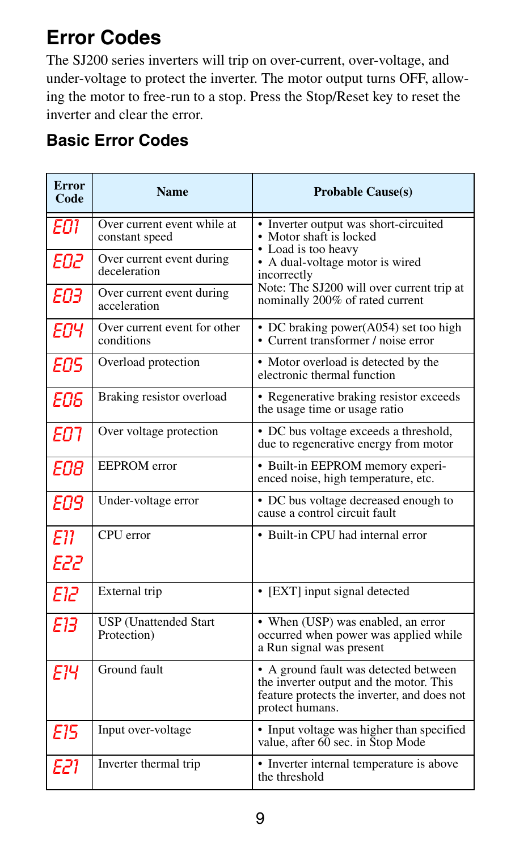### **Error Codes**

The SJ200 series inverters will trip on over-current, over-voltage, and under-voltage to protect the inverter. The motor output turns OFF, allowing the motor to free-run to a stop. Press the Stop/Reset key to reset the inverter and clear the error.

#### **Basic Error Codes**

| <b>Error</b><br>Code | <b>Name</b>                                   | <b>Probable Cause(s)</b>                                                                                                                           |
|----------------------|-----------------------------------------------|----------------------------------------------------------------------------------------------------------------------------------------------------|
| EO1                  | Over current event while at<br>constant speed | • Inverter output was short-circuited<br>• Motor shaft is locked<br>• Load is too heavy                                                            |
| ЕО2                  | Over current event during<br>deceleration     | • A dual-voltage motor is wired<br>incorrectly                                                                                                     |
| ЕОЗ                  | Over current event during<br>acceleration     | Note: The SJ200 will over current trip at<br>nominally 200% of rated current                                                                       |
| ΕОΥ                  | Over current event for other<br>conditions    | • DC braking power(A054) set too high<br>• Current transformer / noise error                                                                       |
| FNS                  | Overload protection                           | • Motor overload is detected by the<br>electronic thermal function                                                                                 |
| EO6                  | Braking resistor overload                     | • Regenerative braking resistor exceeds<br>the usage time or usage ratio                                                                           |
| FN 1                 | Over voltage protection                       | • DC bus voltage exceeds a threshold,<br>due to regenerative energy from motor                                                                     |
| FNR                  | <b>EEPROM</b> error                           | • Built-in EEPROM memory experi-<br>enced noise, high temperature, etc.                                                                            |
| <b>EO9</b>           | Under-voltage error                           | • DC bus voltage decreased enough to<br>cause a control circuit fault                                                                              |
| F11                  | CPU error                                     | • Built-in CPU had internal error                                                                                                                  |
| E22                  |                                               |                                                                                                                                                    |
| בור                  | External trip                                 | • [EXT] input signal detected                                                                                                                      |
| ЕΉ                   | <b>USP</b> (Unattended Start<br>Protection)   | • When (USP) was enabled, an error<br>occurred when power was applied while<br>a Run signal was present                                            |
| Ε1Ч                  | Ground fault                                  | • A ground fault was detected between<br>the inverter output and the motor. This<br>feature protects the inverter, and does not<br>protect humans. |
| <b>E15</b>           | Input over-voltage                            | • Input voltage was higher than specified<br>value, after 60 sec. in Stop Mode                                                                     |
| E21                  | Inverter thermal trip                         | • Inverter internal temperature is above<br>the threshold                                                                                          |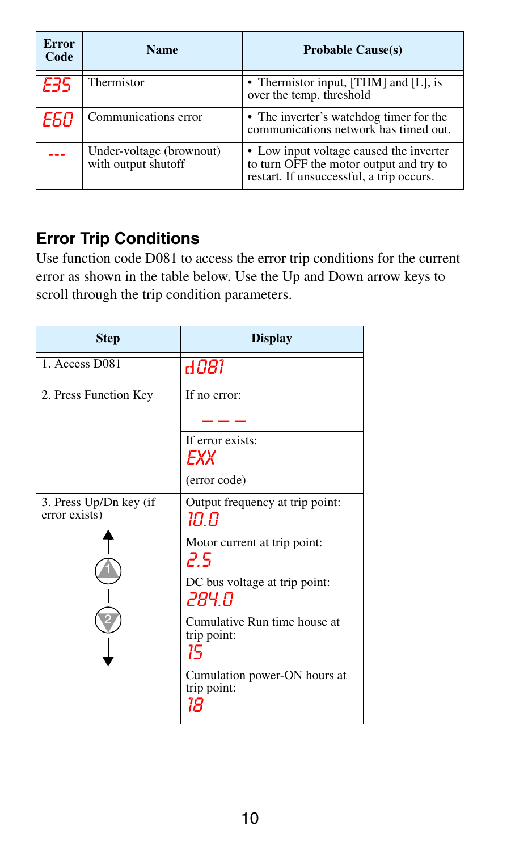| <b>Error</b><br>Code | <b>Name</b>                                     | <b>Probable Cause(s)</b>                                                                                                       |
|----------------------|-------------------------------------------------|--------------------------------------------------------------------------------------------------------------------------------|
| 535                  | Thermistor                                      | • Thermistor input, [THM] and [L], is<br>over the temp. threshold                                                              |
| E60                  | Communications error                            | • The inverter's watchdog timer for the<br>communications network has timed out.                                               |
| --                   | Under-voltage (brownout)<br>with output shutoff | • Low input voltage caused the inverter<br>to turn OFF the motor output and try to<br>restart. If unsuccessful, a trip occurs. |

#### **Error Trip Conditions**

Use function code D081 to access the error trip conditions for the current error as shown in the table below. Use the Up and Down arrow keys to scroll through the trip condition parameters.

| <b>Step</b>                             | <b>Display</b>                                    |
|-----------------------------------------|---------------------------------------------------|
| 1. Access D081                          | d081                                              |
| 2. Press Function Key                   | If no error:                                      |
|                                         |                                                   |
|                                         | If error exists:<br>EXХ                           |
|                                         | (error code)                                      |
| 3. Press Up/Dn key (if<br>error exists) | Output frequency at trip point:<br>ח חו           |
|                                         | Motor current at trip point:<br>۶ م               |
|                                         | DC bus voltage at trip point:<br>284.O            |
|                                         | Cumulative Run time house at<br>trip point:<br>15 |
|                                         | Cumulation power-ON hours at<br>trip point:<br>18 |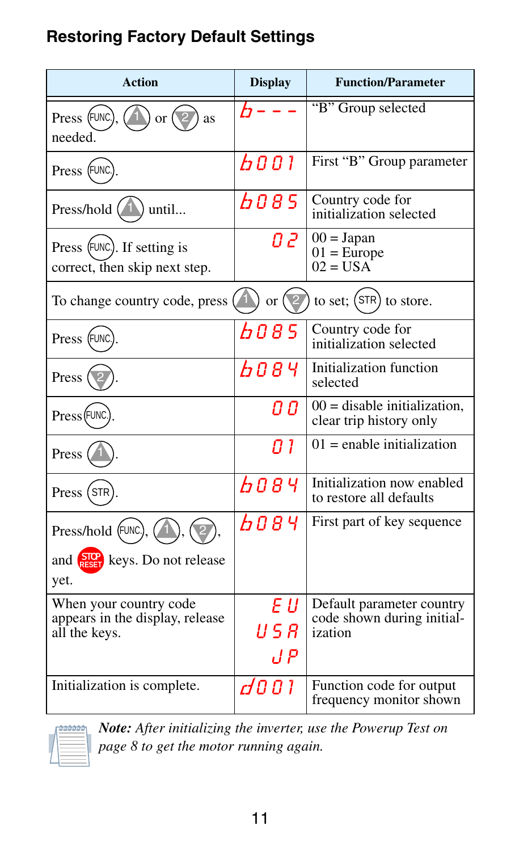#### **Restoring Factory Default Settings**

| <b>Action</b>                                                              | <b>Display</b>     | <b>Function/Parameter</b>                                          |
|----------------------------------------------------------------------------|--------------------|--------------------------------------------------------------------|
| Press (FUNC).<br>or $\sqrt{2}$<br>as<br>needed.                            | ŀ۶                 | "B" Group selected                                                 |
| Press (FUNC.)                                                              | 6001               | First "B" Group parameter                                          |
| Press/hold $(1)$<br>until                                                  | b085               | Country code for<br>initialization selected                        |
| Press (FUNC). If setting is<br>correct, then skip next step.               | 0 Z                | $00 = Japan$<br>$01 = Europe$<br>$02 = USA$                        |
| To change country code, press                                              | $\alpha$ (         | to set; (STR) to store.                                            |
| Press (FUNC                                                                | 6085               | Country code for<br>initialization selected                        |
| Press (                                                                    | 6084               | Initialization function<br>selected                                |
| Press (FUNC.                                                               | Q O                | $00 =$ disable initialization,<br>clear trip history only          |
| Press (                                                                    | 0 I                | $01$ = enable initialization                                       |
| Press (STR)                                                                | <b>b</b> 084       | Initialization now enabled<br>to restore all defaults              |
| Press/hold (FUNC.),                                                        | 608 Y              | First part of key sequence                                         |
| and $\frac{S10}{1551}$ keys. Do not release<br>yet.                        |                    |                                                                    |
| When your country code<br>appears in the display, release<br>all the keys. | EШ<br>U 5 R<br>J P | Default parameter country<br>code shown during initial-<br>ization |
| Initialization is complete.                                                | d001               | Function code for output<br>frequency monitor shown                |



*Note: After initializing the inverter, use the Powerup Test on page 8 to get the motor running again.*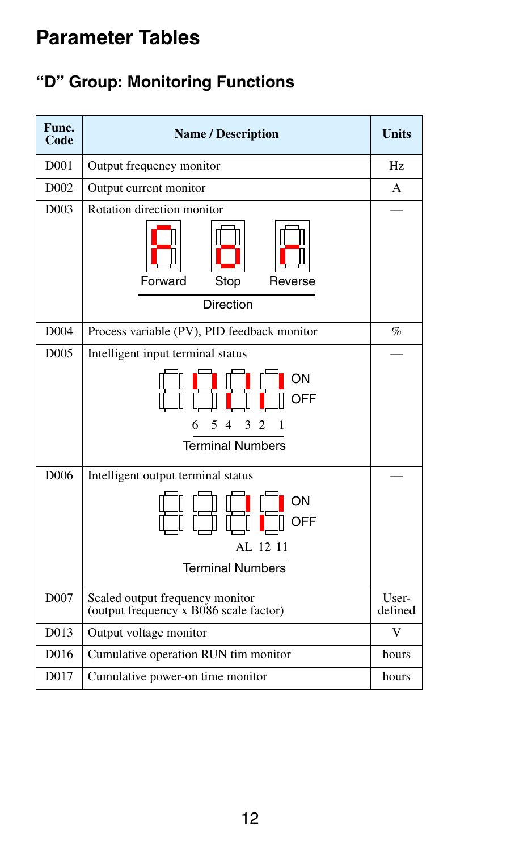### **Parameter Tables**

#### **"D" Group: Monitoring Functions**

| Func.<br>Code    | <b>Name / Description</b>                                                 | <b>Units</b>     |
|------------------|---------------------------------------------------------------------------|------------------|
| D001             | Output frequency monitor                                                  | Hz               |
| D <sub>002</sub> | Output current monitor                                                    | A                |
| D <sub>003</sub> | Rotation direction monitor                                                |                  |
|                  | Stop<br>Forward<br>Reverse                                                |                  |
|                  | Direction                                                                 |                  |
| D <sub>004</sub> | Process variable (PV), PID feedback monitor                               | $\%$             |
| D <sub>005</sub> | Intelligent input terminal status                                         |                  |
|                  | ON<br>OFF<br>5<br>3<br>2<br>6<br>4<br><b>Terminal Numbers</b>             |                  |
| D006             | Intelligent output terminal status                                        |                  |
|                  | ON<br>OFF<br>AL 12 11<br><b>Terminal Numbers</b>                          |                  |
| D007             | Scaled output frequency monitor<br>(output frequency x B086 scale factor) | User-<br>defined |
| D013             | Output voltage monitor                                                    | V                |
| D016             | Cumulative operation RUN tim monitor                                      | hours            |
| D017             | Cumulative power-on time monitor                                          | hours            |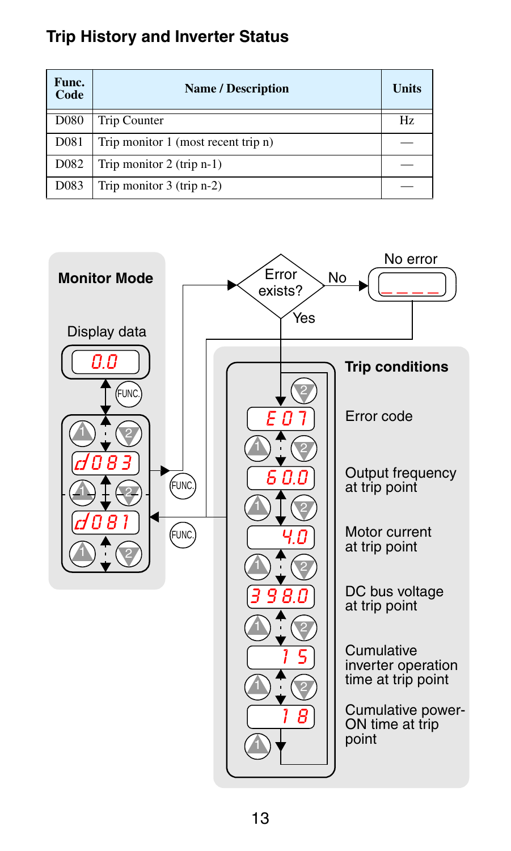#### **Trip History and Inverter Status**

| Func.<br>Code     | <b>Name / Description</b>           | Units |
|-------------------|-------------------------------------|-------|
| D <sub>080</sub>  | Trip Counter                        | Hz.   |
| D081              | Trip monitor 1 (most recent trip n) |       |
| D <sub>0</sub> 82 | Trip monitor $2$ (trip n-1)         |       |
| D <sub>0</sub> 83 | Trip monitor $3$ (trip n-2)         |       |

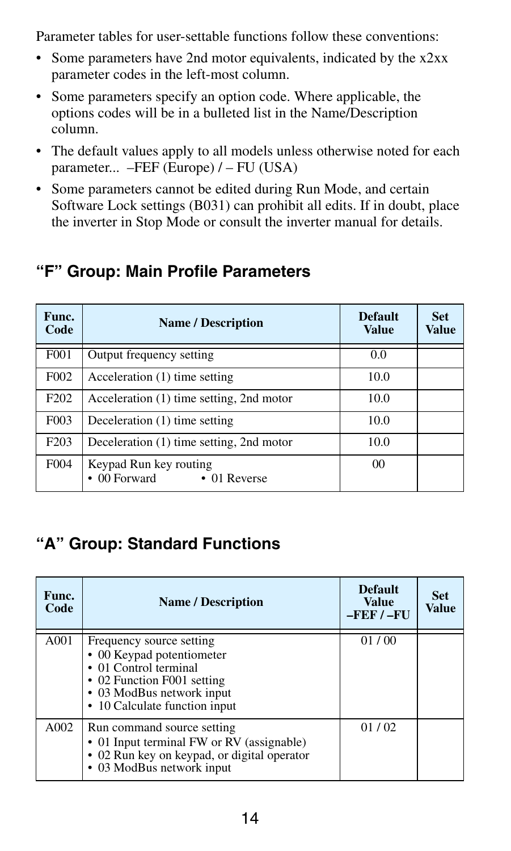Parameter tables for user-settable functions follow these conventions:

- Some parameters have 2nd motor equivalents, indicated by the x2xx parameter codes in the left-most column.
- Some parameters specify an option code. Where applicable, the options codes will be in a bulleted list in the Name/Description column.
- The default values apply to all models unless otherwise noted for each parameter... –FEF (Europe) / – FU (USA)
- Some parameters cannot be edited during Run Mode, and certain Software Lock settings (B031) can prohibit all edits. If in doubt, place the inverter in Stop Mode or consult the inverter manual for details.

| Func.<br>Code    | <b>Name / Description</b>                            | <b>Default</b><br>Value | <b>Set</b><br>Value |
|------------------|------------------------------------------------------|-------------------------|---------------------|
| F001             | Output frequency setting                             | 0.0                     |                     |
| F002             | Acceleration (1) time setting                        | 10.0                    |                     |
| F <sub>202</sub> | Acceleration (1) time setting, 2nd motor             | 10.0                    |                     |
| F <sub>003</sub> | Deceleration (1) time setting                        | 10.0                    |                     |
| F <sub>203</sub> | Deceleration (1) time setting, 2nd motor             | 10.0                    |                     |
| F <sub>004</sub> | Keypad Run key routing<br>00 Forward<br>• 01 Reverse | 0 <sup>0</sup>          |                     |

#### **"F" Group: Main Profile Parameters**

#### **"A" Group: Standard Functions**

| Func.<br>Code | <b>Name / Description</b>                                                                                                                                                  | <b>Default</b><br>Value<br>$-$ FEF $/ -$ FU | <b>Set</b><br>Value |
|---------------|----------------------------------------------------------------------------------------------------------------------------------------------------------------------------|---------------------------------------------|---------------------|
| A001          | Frequency source setting<br>• 00 Keypad potentiometer<br>• 01 Control terminal<br>• 02 Function F001 setting<br>• 03 ModBus network input<br>• 10 Calculate function input | 01/00                                       |                     |
| A002          | Run command source setting<br>• 01 Input terminal FW or RV (assignable)<br>• 02 Run key on keypad, or digital operator<br>• 03 ModBus network input                        | 01/02                                       |                     |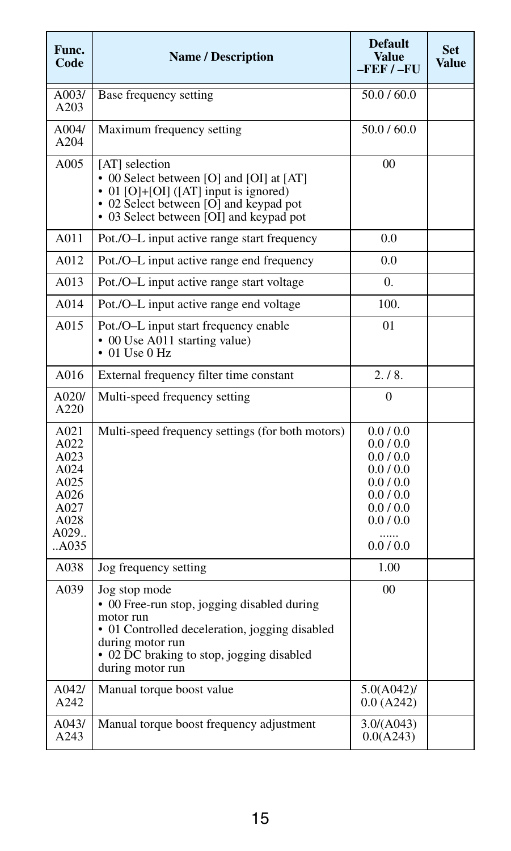| Func.<br>Code                                                                  | <b>Name / Description</b>                                                                                                                                                                                        | <b>Default</b><br>Value<br>$-$ FEF $/ -$ FU                                                                            | <b>Set</b><br>Value |
|--------------------------------------------------------------------------------|------------------------------------------------------------------------------------------------------------------------------------------------------------------------------------------------------------------|------------------------------------------------------------------------------------------------------------------------|---------------------|
| A003/<br>A203                                                                  | Base frequency setting                                                                                                                                                                                           | 50.0 / 60.0                                                                                                            |                     |
| A004/<br>A204                                                                  | Maximum frequency setting                                                                                                                                                                                        | 50.0 / 60.0                                                                                                            |                     |
| A005                                                                           | [AT] selection<br>• 00 Select between [O] and [OI] at [AT]<br>• 01 [O]+[OI] ([AT] input is ignored)<br>• 02 Select between [O] and keypad pot<br>• 03 Select between [OI] and keypad pot                         | 0 <sub>0</sub>                                                                                                         |                     |
| A011                                                                           | Pot./O-L input active range start frequency                                                                                                                                                                      | 0.0                                                                                                                    |                     |
| A012                                                                           | Pot./O-L input active range end frequency                                                                                                                                                                        | 0.0                                                                                                                    |                     |
| A013                                                                           | Pot./O-L input active range start voltage                                                                                                                                                                        | 0.                                                                                                                     |                     |
| A014                                                                           | Pot./O-L input active range end voltage                                                                                                                                                                          | 100.                                                                                                                   |                     |
| A015                                                                           | Pot./O-L input start frequency enable<br>• 00 Use A011 starting value)<br>$\bullet$ 01 Use 0 Hz                                                                                                                  | 01                                                                                                                     |                     |
| A016                                                                           | External frequency filter time constant                                                                                                                                                                          | 2.18.                                                                                                                  |                     |
| A020/<br>A220                                                                  | Multi-speed frequency setting                                                                                                                                                                                    | $\Omega$                                                                                                               |                     |
| A021<br>A022<br>A023<br>A024<br>A025<br>A026<br>A027<br>A028<br>A029<br>. A035 | Multi-speed frequency settings (for both motors)                                                                                                                                                                 | 0.0 / 0.0<br>0.0 / 0.0<br>0.0 / 0.0<br>0.0 / 0.0<br>0.0 / 0.0<br>0.0 / 0.0<br>0.0 / 0.0<br>0.0 / 0.0<br>.<br>0.0 / 0.0 |                     |
| A038                                                                           | Jog frequency setting                                                                                                                                                                                            | 1.00                                                                                                                   |                     |
| A039                                                                           | Jog stop mode<br>• 00 Free-run stop, jogging disabled during<br>motor run<br>• 01 Controlled deceleration, jogging disabled<br>during motor run<br>• 02 DC braking to stop, jogging disabled<br>during motor run | $00 \,$                                                                                                                |                     |
| A042/<br>A242                                                                  | Manual torque boost value                                                                                                                                                                                        | $5.0(A042)$ /<br>0.0 (A242)                                                                                            |                     |
| A043/<br>A243                                                                  | Manual torque boost frequency adjustment                                                                                                                                                                         | 3.0/(A043)<br>0.0(A243)                                                                                                |                     |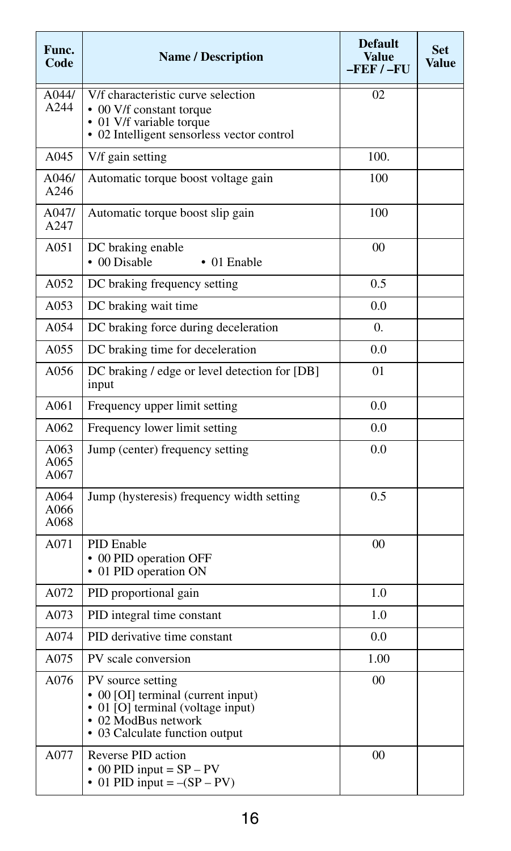| Func.<br>Code        | <b>Name / Description</b>                                                                                                                             | <b>Default</b><br><b>Value</b><br>$-FEF/-FU$ | <b>Set</b><br>Value |
|----------------------|-------------------------------------------------------------------------------------------------------------------------------------------------------|----------------------------------------------|---------------------|
| A044/<br>A244        | V/f characteristic curve selection<br>• 00 V/f constant torque<br>• 01 V/f variable torque                                                            | 0 <sub>2</sub>                               |                     |
|                      | • 02 Intelligent sensorless vector control                                                                                                            |                                              |                     |
| A045                 | V/f gain setting                                                                                                                                      | 100.                                         |                     |
| A046/<br>A246        | Automatic torque boost voltage gain                                                                                                                   | 100                                          |                     |
| A047/<br>A247        | Automatic torque boost slip gain                                                                                                                      | 100                                          |                     |
| A051                 | DC braking enable<br>• 00 Disable<br>$\bullet$ 01 Enable                                                                                              | 00                                           |                     |
| A052                 | DC braking frequency setting                                                                                                                          | 0.5                                          |                     |
| A053                 | DC braking wait time                                                                                                                                  | 0.0                                          |                     |
| A054                 | DC braking force during deceleration                                                                                                                  | $\Omega$ .                                   |                     |
| A055                 | DC braking time for deceleration                                                                                                                      | 0.0                                          |                     |
| A056                 | DC braking / edge or level detection for [DB]<br>input                                                                                                | 0 <sub>1</sub>                               |                     |
| A061                 | Frequency upper limit setting                                                                                                                         | 0.0                                          |                     |
| A062                 | Frequency lower limit setting                                                                                                                         | 0.0                                          |                     |
| A063<br>A065<br>A067 | Jump (center) frequency setting                                                                                                                       | 0.0                                          |                     |
| A064<br>A066<br>A068 | Jump (hysteresis) frequency width setting                                                                                                             | 0.5                                          |                     |
| A071                 | <b>PID</b> Enable<br>• 00 PID operation OFF<br>• 01 PID operation ON                                                                                  | 00                                           |                     |
| A072                 | PID proportional gain                                                                                                                                 | 1.0                                          |                     |
| A073                 | PID integral time constant                                                                                                                            | 1.0                                          |                     |
| A074                 | PID derivative time constant                                                                                                                          | 0.0                                          |                     |
| A075                 | PV scale conversion                                                                                                                                   | 1.00                                         |                     |
| A076                 | PV source setting<br>• 00 [OI] terminal (current input)<br>• 01 [O] terminal (voltage input)<br>• 02 ModBus network<br>• 03 Calculate function output | 0 <sup>0</sup>                               |                     |
| A077                 | Reverse PID action<br>$\cdot$ 00 PID input = SP – PV<br>• 01 PID input $=-(SP - PV)$                                                                  | 00                                           |                     |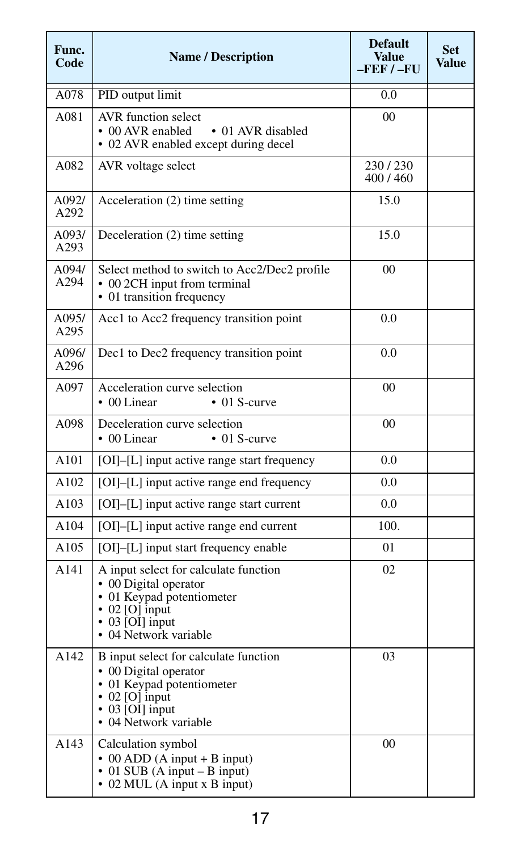| Func.<br>Code | <b>Name / Description</b>                                                                                                                                                   | <b>Default</b><br>Value<br>$-$ FEF $/ -$ FU | <b>Set</b><br>Value |
|---------------|-----------------------------------------------------------------------------------------------------------------------------------------------------------------------------|---------------------------------------------|---------------------|
| A078          | PID output limit                                                                                                                                                            | 0.0                                         |                     |
| A081          | <b>AVR</b> function select<br>• 00 AVR enabled<br>• 01 AVR disabled<br>• 02 AVR enabled except during decel                                                                 | 00                                          |                     |
| A082          | AVR voltage select                                                                                                                                                          | 230/230<br>400/460                          |                     |
| A092/<br>A292 | Acceleration (2) time setting                                                                                                                                               | 15.0                                        |                     |
| A093/<br>A293 | Deceleration (2) time setting                                                                                                                                               | 15.0                                        |                     |
| A094/<br>A294 | Select method to switch to Acc2/Dec2 profile<br>• 00 2CH input from terminal<br>• 01 transition frequency                                                                   | 0 <sub>0</sub>                              |                     |
| A095/<br>A295 | Acc1 to Acc2 frequency transition point                                                                                                                                     | 0.0                                         |                     |
| A096/<br>A296 | Dec1 to Dec2 frequency transition point                                                                                                                                     | 0.0                                         |                     |
| A097          | Acceleration curve selection<br>• 00 Linear<br>$\bullet$ 01 S-curve                                                                                                         | 0 <sub>0</sub>                              |                     |
| A098          | Deceleration curve selection<br>$\cdot$ 00 Linear<br>$\cdot$ 01 S-curve                                                                                                     | 00                                          |                     |
| A101          | [OI]-[L] input active range start frequency                                                                                                                                 | 0.0                                         |                     |
| A102          | [OI]-[L] input active range end frequency                                                                                                                                   | 0.0                                         |                     |
| A103          | [OI]-[L] input active range start current                                                                                                                                   | 0.0                                         |                     |
| A104          | [OI]-[L] input active range end current                                                                                                                                     | 100.                                        |                     |
| A105          | [OI]-[L] input start frequency enable                                                                                                                                       | 01                                          |                     |
| A141          | A input select for calculate function<br>02<br>• 00 Digital operator<br>• 01 Keypad potentiometer<br>$\cdot$ 02 [O] input<br>$\cdot$ 03 [OI] input<br>• 04 Network variable |                                             |                     |
| A142          | B input select for calculate function<br>• 00 Digital operator<br>• 01 Keypad potentiometer<br>$\cdot$ 02 [O] input<br>$\cdot$ 03 [OI] input<br>• 04 Network variable       | 03                                          |                     |
| A143          | Calculation symbol<br>$\bullet$ 00 ADD (A input + B input)<br>$\bullet$ 01 SUB (A input – B input)<br>• 02 MUL (A input x B input)                                          | 00                                          |                     |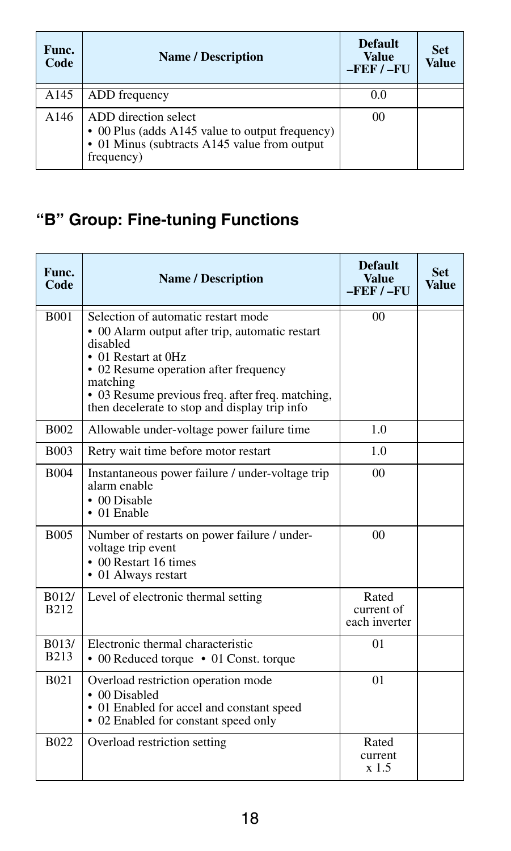| Func.<br>Code | <b>Name / Description</b>                                                                                                              | <b>Default</b><br><b>Value</b><br>$-$ FEF $/ -$ FU | <b>Set</b><br>Value |
|---------------|----------------------------------------------------------------------------------------------------------------------------------------|----------------------------------------------------|---------------------|
| A145          | ADD frequency                                                                                                                          | 0.0                                                |                     |
| A146          | ADD direction select<br>• 00 Plus (adds A145 value to output frequency)<br>• 01 Minus (subtracts A145 value from output)<br>frequency) | 00                                                 |                     |

### **"B" Group: Fine-tuning Functions**

| Func.<br>Code             | <b>Name / Description</b>                                                                                                                                                                                                                                                           | <b>Default</b><br><b>Value</b><br>$-FEF/-FU$ | <b>Set</b><br>Value |
|---------------------------|-------------------------------------------------------------------------------------------------------------------------------------------------------------------------------------------------------------------------------------------------------------------------------------|----------------------------------------------|---------------------|
| <b>B001</b>               | Selection of automatic restart mode<br>• 00 Alarm output after trip, automatic restart<br>disabled<br>• 01 Restart at 0Hz<br>• 02 Resume operation after frequency<br>matching<br>• 03 Resume previous freq. after freq. matching,<br>then decelerate to stop and display trip info | 0 <sub>0</sub>                               |                     |
| <b>B002</b>               | Allowable under-voltage power failure time                                                                                                                                                                                                                                          | 1.0                                          |                     |
| <b>B003</b>               | Retry wait time before motor restart                                                                                                                                                                                                                                                | 1 <sub>0</sub>                               |                     |
| <b>B004</b>               | Instantaneous power failure / under-voltage trip<br>alarm enable<br>• 00 Disable<br>$\bullet$ 01 Enable                                                                                                                                                                             | 0 <sup>0</sup>                               |                     |
| <b>B005</b>               | Number of restarts on power failure / under-<br>voltage trip event<br>• 00 Restart 16 times<br>• 01 Always restart                                                                                                                                                                  | 0 <sup>0</sup>                               |                     |
| B012/<br>B <sub>212</sub> | Level of electronic thermal setting                                                                                                                                                                                                                                                 | Rated<br>current of<br>each inverter         |                     |
| B013/<br><b>B213</b>      | Electronic thermal characteristic<br>• 00 Reduced torque • 01 Const. torque                                                                                                                                                                                                         | 01                                           |                     |
| <b>B021</b>               | Overload restriction operation mode<br>• 00 Disabled<br>• 01 Enabled for accel and constant speed<br>• 02 Enabled for constant speed only                                                                                                                                           | 01                                           |                     |
| <b>B022</b>               | Overload restriction setting                                                                                                                                                                                                                                                        | Rated<br>current<br>x 1.5                    |                     |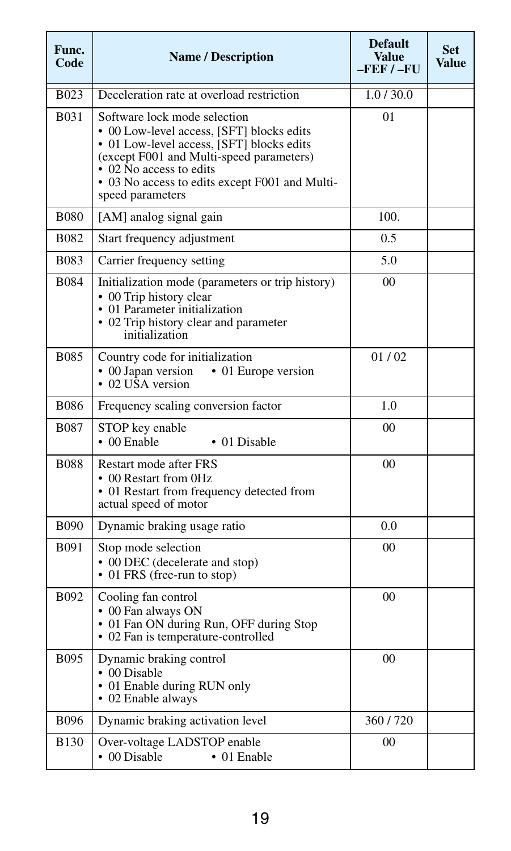| Func.<br>Code | <b>Name / Description</b>                                                                                                                                                                                                                                           | <b>Default</b><br>Value<br>$-$ FEF $/ -$ FU | <b>Set</b><br>Value |
|---------------|---------------------------------------------------------------------------------------------------------------------------------------------------------------------------------------------------------------------------------------------------------------------|---------------------------------------------|---------------------|
| <b>B023</b>   | Deceleration rate at overload restriction                                                                                                                                                                                                                           | 1.0/30.0                                    |                     |
| <b>B031</b>   | Software lock mode selection<br>• 00 Low-level access, [SFT] blocks edits<br>• 01 Low-level access, [SFT] blocks edits<br>(except F001 and Multi-speed parameters)<br>• 02 No access to edits<br>• 03 No access to edits except F001 and Multi-<br>speed parameters | 0 <sub>1</sub>                              |                     |
| <b>B080</b>   | [AM] analog signal gain                                                                                                                                                                                                                                             | 100.                                        |                     |
| <b>B082</b>   | Start frequency adjustment                                                                                                                                                                                                                                          | 0.5                                         |                     |
| <b>B083</b>   | Carrier frequency setting                                                                                                                                                                                                                                           | 5.0                                         |                     |
| <b>B084</b>   | Initialization mode (parameters or trip history)<br>• 00 Trip history clear<br>• 01 Parameter initialization<br>• 02 Trip history clear and parameter<br>initialization                                                                                             | $00\,$                                      |                     |
| <b>B085</b>   | Country code for initialization<br>• 00 Japan version<br>• 01 Europe version<br>• 02 USA version                                                                                                                                                                    | 01/02                                       |                     |
| <b>B086</b>   | Frequency scaling conversion factor                                                                                                                                                                                                                                 | 1.0                                         |                     |
| <b>B087</b>   | STOP key enable<br>$\cdot$ 00 Enable<br>• 01 Disable                                                                                                                                                                                                                | $00 \,$                                     |                     |
| <b>B088</b>   | Restart mode after FRS<br>• 00 Restart from 0Hz<br>• 01 Restart from frequency detected from<br>actual speed of motor                                                                                                                                               | 0 <sup>0</sup>                              |                     |
| <b>B090</b>   | Dynamic braking usage ratio                                                                                                                                                                                                                                         | 0.0                                         |                     |
| <b>B091</b>   | Stop mode selection<br>• 00 DEC (decelerate and stop)<br>• 01 FRS (free-run to stop)                                                                                                                                                                                | 0 <sub>0</sub>                              |                     |
| B092          | Cooling fan control<br>• 00 Fan always ON<br>• 01 Fan ON during Run, OFF during Stop<br>• 02 Fan is temperature-controlled                                                                                                                                          | 00                                          |                     |
| <b>B095</b>   | Dynamic braking control<br>• 00 Disable<br>• 01 Enable during RUN only<br>• 02 Enable always                                                                                                                                                                        | 00                                          |                     |
| <b>B096</b>   | Dynamic braking activation level                                                                                                                                                                                                                                    | 360/720                                     |                     |
| <b>B130</b>   | Over-voltage LADSTOP enable<br>• 00 Disable<br>$\bullet$ 01 Enable                                                                                                                                                                                                  | 00                                          |                     |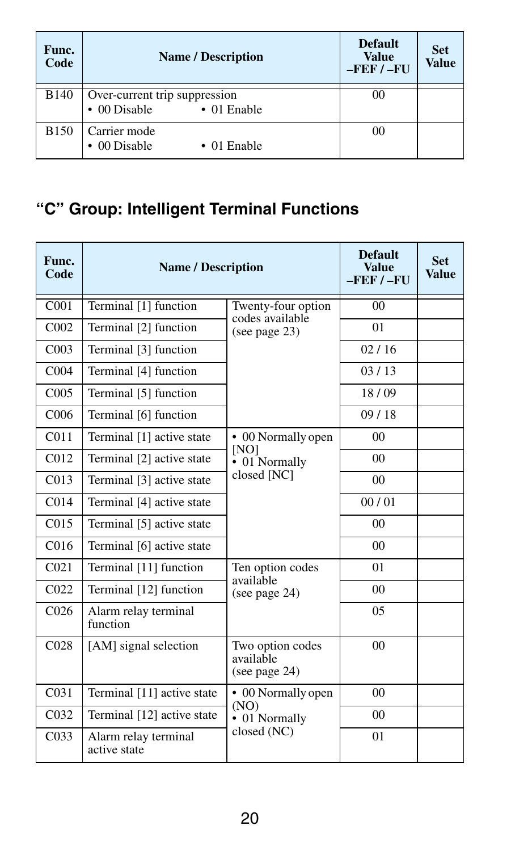| Func.<br>Code | <b>Name / Description</b>                                                  | <b>Default</b><br><b>Value</b><br>$-$ FEF $/ -$ FU | <b>Set</b><br><b>Value</b> |
|---------------|----------------------------------------------------------------------------|----------------------------------------------------|----------------------------|
| <b>B140</b>   | Over-current trip suppression<br>$\cdot$ 00 Disable<br>$\bullet$ 01 Enable | 00                                                 |                            |
| <b>B150</b>   | Carrier mode<br>00 Disable<br>$\bullet$ 01 Enable                          | 00                                                 |                            |

### **"C" Group: Intelligent Terminal Functions**

| Func.<br>Code    | <b>Name / Description</b>            | <b>Default</b><br><b>Value</b><br>$-FEF / - FU$   | <b>Set</b><br><b>Value</b> |  |
|------------------|--------------------------------------|---------------------------------------------------|----------------------------|--|
| C <sub>001</sub> | Terminal [1] function                | Twenty-four option<br>codes available             | 00                         |  |
| C <sub>002</sub> | Terminal [2] function                | (see page $23$ )                                  | 01                         |  |
| CO <sub>03</sub> | Terminal [3] function                |                                                   | 02/16                      |  |
| C <sub>004</sub> | Terminal [4] function                |                                                   | 03/13                      |  |
| C <sub>005</sub> | Terminal [5] function                |                                                   | 18/09                      |  |
| C <sub>006</sub> | Terminal [6] function                |                                                   | 09/18                      |  |
| C <sub>011</sub> | Terminal [1] active state            | • 00 Normally open                                | 0 <sup>0</sup>             |  |
| C <sub>012</sub> | Terminal [2] active state            | [NO]<br>• 01 Normally<br>closed [NC]              | $00\,$                     |  |
| C <sub>013</sub> | Terminal [3] active state            |                                                   | $00\,$                     |  |
| C <sub>014</sub> | Terminal [4] active state            |                                                   | 00/01                      |  |
| C <sub>015</sub> | Terminal [5] active state            |                                                   | $00\,$                     |  |
| C <sub>016</sub> | Terminal [6] active state            |                                                   | $00\,$                     |  |
| CO <sub>21</sub> | Terminal [11] function               | Ten option codes                                  | 01                         |  |
| CO <sub>22</sub> | Terminal [12] function               | available<br>(see page 24)                        | 00 <sup>1</sup>            |  |
| C <sub>026</sub> | Alarm relay terminal<br>function     |                                                   | $0.5^{\circ}$              |  |
| CO <sub>28</sub> | [AM] signal selection                | Two option codes<br>available<br>(see page $24$ ) | $00\,$                     |  |
| C <sub>031</sub> | Terminal [11] active state           | • 00 Normally open                                | $00\,$                     |  |
| C <sub>032</sub> | Terminal [12] active state           | (NO)<br>• 01 Normally                             | $00\,$                     |  |
| CO <sub>33</sub> | Alarm relay terminal<br>active state | closed (NC)                                       | 01                         |  |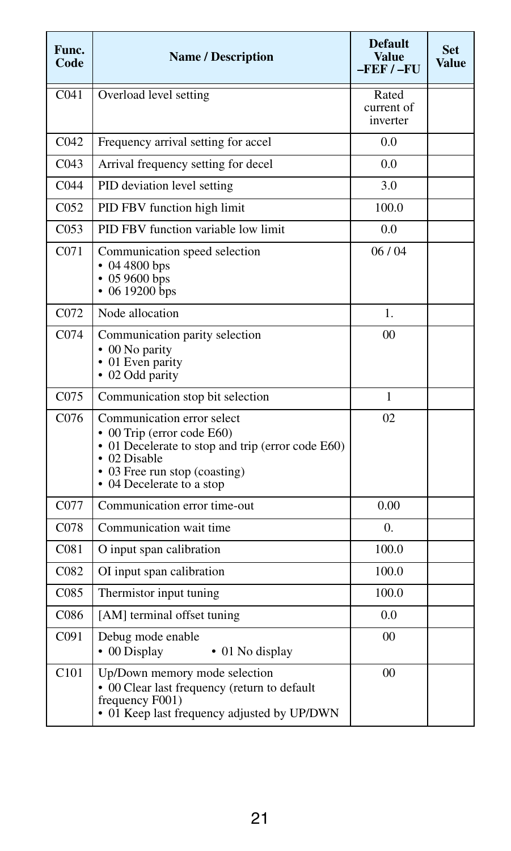| Func.<br>Code    | <b>Name / Description</b>                                                                                                                                                                   | <b>Default</b><br>Value<br>$-FEF/-FU$ | <b>Set</b><br>Value |
|------------------|---------------------------------------------------------------------------------------------------------------------------------------------------------------------------------------------|---------------------------------------|---------------------|
| C <sub>041</sub> | Overload level setting                                                                                                                                                                      | Rated<br>current of<br>inverter       |                     |
| C <sub>042</sub> | Frequency arrival setting for accel                                                                                                                                                         | 0.0                                   |                     |
| C <sub>043</sub> | Arrival frequency setting for decel                                                                                                                                                         | 0.0                                   |                     |
| C <sub>044</sub> | PID deviation level setting                                                                                                                                                                 | 3.0                                   |                     |
| C <sub>052</sub> | PID FBV function high limit                                                                                                                                                                 | 100.0                                 |                     |
| CO <sub>53</sub> | PID FBV function variable low limit                                                                                                                                                         | 0.0                                   |                     |
| C <sub>071</sub> | Communication speed selection<br>$\cdot$ 04 4800 bps<br>$\cdot$ 05 9600 bps<br>$\cdot$ 06 19200 bps                                                                                         | 06/04                                 |                     |
| C <sub>072</sub> | Node allocation                                                                                                                                                                             | $\mathbf{1}$ .                        |                     |
| C <sub>074</sub> | Communication parity selection<br>$\cdot$ 00 No parity<br>• 01 Even parity<br>• 02 Odd parity                                                                                               | 0 <sub>0</sub>                        |                     |
| C075             | Communication stop bit selection                                                                                                                                                            | 1                                     |                     |
| C <sub>076</sub> | Communication error select<br>• 00 Trip (error code E60)<br>• 01 Decelerate to stop and trip (error code E60)<br>• 02 Disable<br>• 03 Free run stop (coasting)<br>• 04 Decelerate to a stop | 02                                    |                     |
| C077             | Communication error time-out                                                                                                                                                                | 0.00                                  |                     |
| C <sub>078</sub> | Communication wait time                                                                                                                                                                     | $\Omega$ .                            |                     |
| C <sub>081</sub> | O input span calibration                                                                                                                                                                    | 100.0                                 |                     |
| C <sub>082</sub> | OI input span calibration                                                                                                                                                                   | 100.0                                 |                     |
| C <sub>085</sub> | Thermistor input tuning                                                                                                                                                                     | 100.0                                 |                     |
| C086             | [AM] terminal offset tuning                                                                                                                                                                 | 0.0                                   |                     |
| C091             | Debug mode enable<br>• 00 Display<br>• 01 No display                                                                                                                                        |                                       |                     |
| C101             | Up/Down memory mode selection<br>• 00 Clear last frequency (return to default<br>frequency F001)<br>• 01 Keep last frequency adjusted by UP/DWN                                             | 0 <sub>0</sub>                        |                     |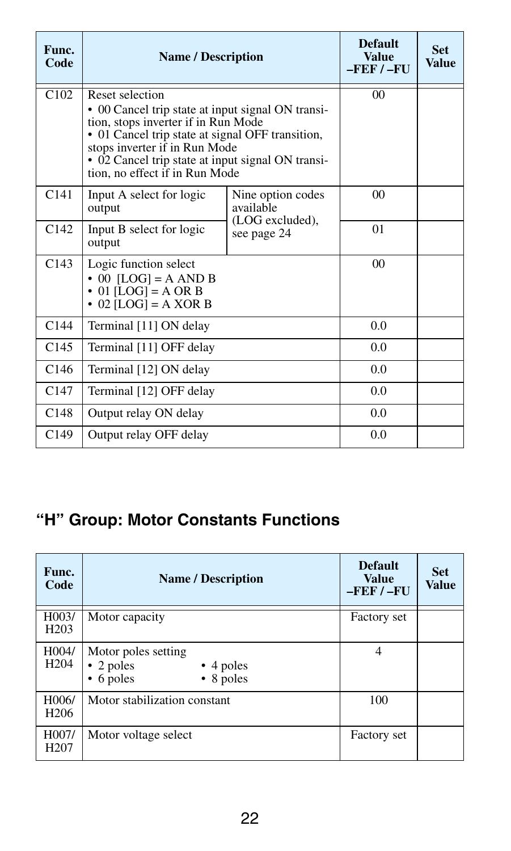| Func.<br>Code    | <b>Name / Description</b>                                                                                                                                                                                                                                                               | <b>Default</b><br><b>Value</b><br>$-FEF / - FU$ | <b>Set</b><br>Value |  |
|------------------|-----------------------------------------------------------------------------------------------------------------------------------------------------------------------------------------------------------------------------------------------------------------------------------------|-------------------------------------------------|---------------------|--|
| C102             | Reset selection<br>• 00 Cancel trip state at input signal ON transi-<br>tion, stops inverter if in Run Mode<br>• 01 Cancel trip state at signal OFF transition,<br>stops inverter if in Run Mode<br>• 02 Cancel trip state at input signal ON transi-<br>tion, no effect if in Run Mode |                                                 | 0 <sub>0</sub>      |  |
| C141             | Input A select for logic<br>output                                                                                                                                                                                                                                                      | Nine option codes<br>available                  | 0 <sup>0</sup>      |  |
| C142             | Input B select for logic<br>output                                                                                                                                                                                                                                                      | (LOG excluded),<br>see page 24                  | 01                  |  |
| C143             | Logic function select<br>$\cdot$ 00 [LOG] = A AND B<br>$\bullet$ 01 [LOG] = A OR B<br>$\cdot$ 02 [LOG] = A XOR B                                                                                                                                                                        |                                                 | 0 <sup>0</sup>      |  |
| C144             | Terminal [11] ON delay                                                                                                                                                                                                                                                                  |                                                 | 0.0                 |  |
| C145             | Terminal [11] OFF delay                                                                                                                                                                                                                                                                 | 0.0                                             |                     |  |
| C <sub>146</sub> | Terminal [12] ON delay                                                                                                                                                                                                                                                                  | 0.0                                             |                     |  |
| C147             | Terminal [12] OFF delay                                                                                                                                                                                                                                                                 | 0.0                                             |                     |  |
| C148             | Output relay ON delay                                                                                                                                                                                                                                                                   | 0.0                                             |                     |  |
| C <sub>149</sub> | Output relay OFF delay                                                                                                                                                                                                                                                                  |                                                 | 0.0                 |  |

#### **"H" Group: Motor Constants Functions**

| Func.<br>Code             | <b>Name / Description</b>                                                                           | <b>Default</b><br><b>Value</b><br>$-$ FEF $/ -$ FU | <b>Set</b><br><b>Value</b> |
|---------------------------|-----------------------------------------------------------------------------------------------------|----------------------------------------------------|----------------------------|
| H003/<br>H <sub>203</sub> | Motor capacity                                                                                      | Factory set                                        |                            |
| H004/<br>H <sub>204</sub> | Motor poles setting<br>$\cdot$ 2 poles<br>$\cdot$ 4 poles<br>$\bullet$ 8 poles<br>$\bullet$ 6 poles | $\overline{4}$                                     |                            |
| H006/<br>H <sub>206</sub> | Motor stabilization constant                                                                        | 100                                                |                            |
| H007/<br>H <sub>207</sub> | Motor voltage select                                                                                | Factory set                                        |                            |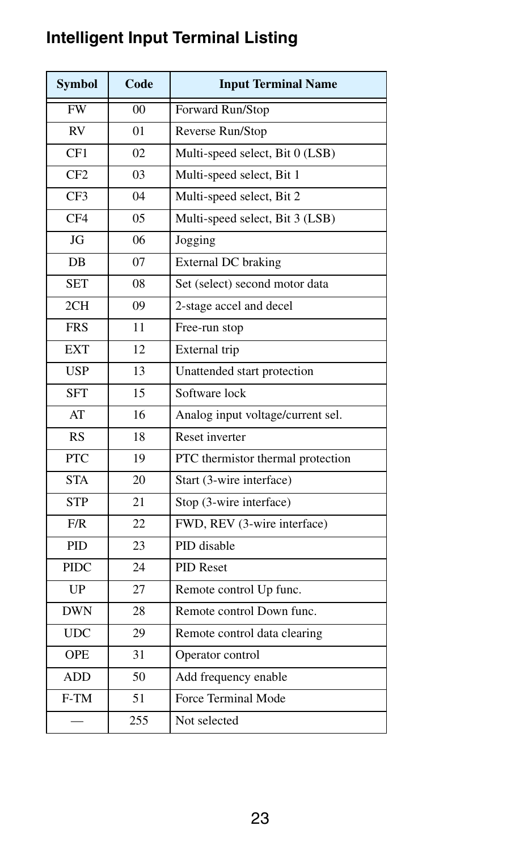| <b>Symbol</b> | Code           | <b>Input Terminal Name</b>        |
|---------------|----------------|-----------------------------------|
| FW            | $^{00}$        | Forward Run/Stop                  |
| <b>RV</b>     | 0 <sub>1</sub> | Reverse Run/Stop                  |
| CF1           | 02             | Multi-speed select, Bit 0 (LSB)   |
| CF2           | 03             | Multi-speed select, Bit 1         |
| CF3           | 04             | Multi-speed select, Bit 2         |
| CF4           | 0.5            | Multi-speed select, Bit 3 (LSB)   |
| JG            | 06             | Jogging                           |
| DB            | 07             | <b>External DC</b> braking        |
| <b>SET</b>    | 08             | Set (select) second motor data    |
| 2CH           | 09             | 2-stage accel and decel           |
| <b>FRS</b>    | 11             | Free-run stop                     |
| <b>EXT</b>    | 12             | External trip                     |
| <b>USP</b>    | 13             | Unattended start protection       |
| <b>SFT</b>    | 15             | Software lock                     |
| AT            | 16             | Analog input voltage/current sel. |
| RS            | 18             | Reset inverter                    |
| PTC           | 19             | PTC thermistor thermal protection |
| <b>STA</b>    | 20             | Start (3-wire interface)          |
| <b>STP</b>    | 21             | Stop (3-wire interface)           |
| F/R           | 22             | FWD, REV (3-wire interface)       |
| PID           | 23             | PID disable                       |
| <b>PIDC</b>   | 24             | <b>PID Reset</b>                  |
| UP            | 27             | Remote control Up func.           |
| <b>DWN</b>    | 28             | Remote control Down func.         |
| <b>UDC</b>    | 29             | Remote control data clearing      |
| <b>OPE</b>    | 31             | Operator control                  |
| <b>ADD</b>    | 50             | Add frequency enable              |
| $F-TM$        | 51             | Force Terminal Mode               |
|               | 255            | Not selected                      |

### **Intelligent Input Terminal Listing**